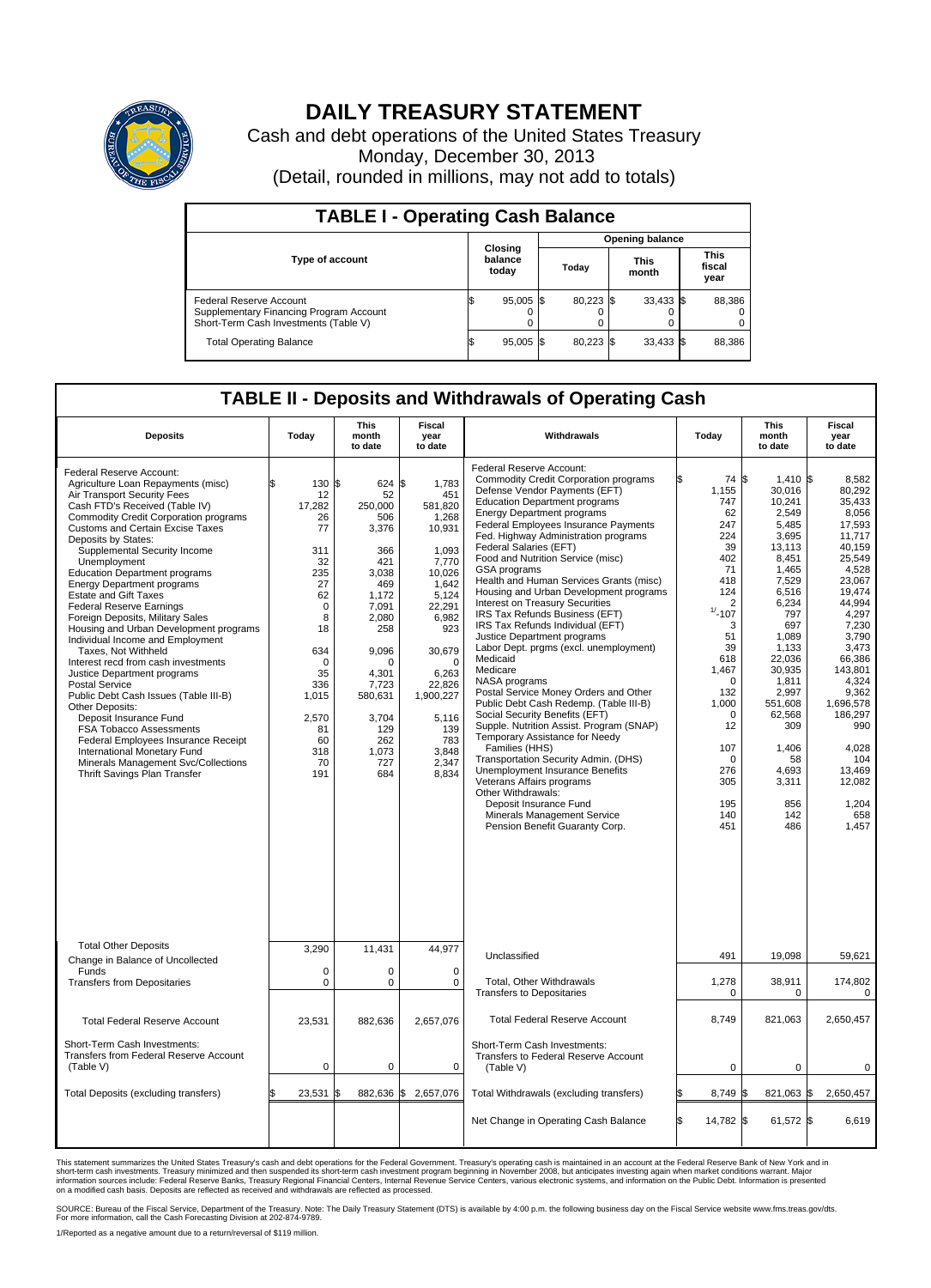

## **DAILY TREASURY STATEMENT**

Cash and debt operations of the United States Treasury Monday, December 30, 2013 (Detail, rounded in millions, may not add to totals)

| <b>TABLE I - Operating Cash Balance</b>                                                                     |                                    |             |       |                        |                      |             |  |                               |  |
|-------------------------------------------------------------------------------------------------------------|------------------------------------|-------------|-------|------------------------|----------------------|-------------|--|-------------------------------|--|
|                                                                                                             |                                    |             |       | <b>Opening balance</b> |                      |             |  |                               |  |
| Type of account                                                                                             | <b>Closing</b><br>balance<br>today |             | Today |                        | <b>This</b><br>month |             |  | <b>This</b><br>fiscal<br>year |  |
| Federal Reserve Account<br>Supplementary Financing Program Account<br>Short-Term Cash Investments (Table V) |                                    | $95,005$ \$ |       | 80,223 \$              |                      | $33,433$ \$ |  | 88,386                        |  |
| <b>Total Operating Balance</b>                                                                              | ıъ                                 | $95,005$ \$ |       | $80,223$ \$            |                      | $33,433$ \$ |  | 88,386                        |  |

## **TABLE II - Deposits and Withdrawals of Operating Cash**

| <b>Deposits</b>                                                                                                                                                                                                                                                                                                                                                                                                                                                                                                                                                                                                                                                                                                                                                                                                                                                                                                                                  | Today                                                                                                                                                                                | <b>This</b><br>month<br>to date                                                                                                                                                                         | <b>Fiscal</b><br>year<br>to date                                                                                                                                                                                           | Withdrawals                                                                                                                                                                                                                                                                                                                                                                                                                                                                                                                                                                                                                                                                                                                                                                                                                                                                                                                                                                                                                                                                                                         | Today                                                                                                                                                                                                                                                    | <b>This</b><br>month<br>to date                                                                                                                                                                                                                                           | <b>Fiscal</b><br>year<br>to date                                                                                                                                                                                                                                                         |
|--------------------------------------------------------------------------------------------------------------------------------------------------------------------------------------------------------------------------------------------------------------------------------------------------------------------------------------------------------------------------------------------------------------------------------------------------------------------------------------------------------------------------------------------------------------------------------------------------------------------------------------------------------------------------------------------------------------------------------------------------------------------------------------------------------------------------------------------------------------------------------------------------------------------------------------------------|--------------------------------------------------------------------------------------------------------------------------------------------------------------------------------------|---------------------------------------------------------------------------------------------------------------------------------------------------------------------------------------------------------|----------------------------------------------------------------------------------------------------------------------------------------------------------------------------------------------------------------------------|---------------------------------------------------------------------------------------------------------------------------------------------------------------------------------------------------------------------------------------------------------------------------------------------------------------------------------------------------------------------------------------------------------------------------------------------------------------------------------------------------------------------------------------------------------------------------------------------------------------------------------------------------------------------------------------------------------------------------------------------------------------------------------------------------------------------------------------------------------------------------------------------------------------------------------------------------------------------------------------------------------------------------------------------------------------------------------------------------------------------|----------------------------------------------------------------------------------------------------------------------------------------------------------------------------------------------------------------------------------------------------------|---------------------------------------------------------------------------------------------------------------------------------------------------------------------------------------------------------------------------------------------------------------------------|------------------------------------------------------------------------------------------------------------------------------------------------------------------------------------------------------------------------------------------------------------------------------------------|
| Federal Reserve Account:<br>Agriculture Loan Repayments (misc)<br>Air Transport Security Fees<br>Cash FTD's Received (Table IV)<br><b>Commodity Credit Corporation programs</b><br>Customs and Certain Excise Taxes<br>Deposits by States:<br>Supplemental Security Income<br>Unemployment<br><b>Education Department programs</b><br><b>Energy Department programs</b><br><b>Estate and Gift Taxes</b><br><b>Federal Reserve Earnings</b><br>Foreign Deposits, Military Sales<br>Housing and Urban Development programs<br>Individual Income and Employment<br>Taxes. Not Withheld<br>Interest recd from cash investments<br>Justice Department programs<br><b>Postal Service</b><br>Public Debt Cash Issues (Table III-B)<br>Other Deposits:<br>Deposit Insurance Fund<br>FSA Tobacco Assessments<br>Federal Employees Insurance Receipt<br>International Monetary Fund<br>Minerals Management Svc/Collections<br>Thrift Savings Plan Transfer | \$<br>130 \$<br>12<br>17,282<br>26<br>77<br>311<br>32<br>235<br>27<br>62<br>$\mathbf 0$<br>8<br>18<br>634<br>$\Omega$<br>35<br>336<br>1,015<br>2,570<br>81<br>60<br>318<br>70<br>191 | 624 \$<br>52<br>250,000<br>506<br>3,376<br>366<br>421<br>3.038<br>469<br>1,172<br>7,091<br>2,080<br>258<br>9.096<br>$\Omega$<br>4.301<br>7,723<br>580,631<br>3,704<br>129<br>262<br>1,073<br>727<br>684 | 1,783<br>451<br>581,820<br>1,268<br>10,931<br>1,093<br>7,770<br>10,026<br>1,642<br>5,124<br>22,291<br>6,982<br>923<br>30,679<br>$\Omega$<br>6,263<br>22,826<br>1,900,227<br>5,116<br>139<br>783<br>3,848<br>2,347<br>8,834 | Federal Reserve Account:<br><b>Commodity Credit Corporation programs</b><br>Defense Vendor Payments (EFT)<br><b>Education Department programs</b><br><b>Energy Department programs</b><br>Federal Employees Insurance Payments<br>Fed. Highway Administration programs<br>Federal Salaries (EFT)<br>Food and Nutrition Service (misc)<br>GSA programs<br>Health and Human Services Grants (misc)<br>Housing and Urban Development programs<br>Interest on Treasury Securities<br>IRS Tax Refunds Business (EFT)<br>IRS Tax Refunds Individual (EFT)<br>Justice Department programs<br>Labor Dept. prgms (excl. unemployment)<br>Medicaid<br>Medicare<br>NASA programs<br>Postal Service Money Orders and Other<br>Public Debt Cash Redemp. (Table III-B)<br>Social Security Benefits (EFT)<br>Supple. Nutrition Assist. Program (SNAP)<br>Temporary Assistance for Needy<br>Families (HHS)<br>Transportation Security Admin. (DHS)<br>Unemployment Insurance Benefits<br>Veterans Affairs programs<br>Other Withdrawals:<br>Deposit Insurance Fund<br>Minerals Management Service<br>Pension Benefit Guaranty Corp. | 74 \$<br>1,155<br>747<br>62<br>247<br>224<br>39<br>402<br>71<br>418<br>124<br>$\overline{2}$<br>$1/ - 107$<br>3<br>51<br>39<br>618<br>1,467<br>$\mathbf 0$<br>132<br>1,000<br>$\mathbf 0$<br>12<br>107<br>$\mathbf 0$<br>276<br>305<br>195<br>140<br>451 | $1,410$ \\$<br>30,016<br>10,241<br>2,549<br>5,485<br>3,695<br>13,113<br>8,451<br>1.465<br>7,529<br>6,516<br>6,234<br>797<br>697<br>1,089<br>1,133<br>22.036<br>30,935<br>1,811<br>2,997<br>551,608<br>62,568<br>309<br>1,406<br>58<br>4,693<br>3,311<br>856<br>142<br>486 | 8,582<br>80,292<br>35,433<br>8,056<br>17,593<br>11.717<br>40,159<br>25.549<br>4.528<br>23,067<br>19.474<br>44.994<br>4,297<br>7,230<br>3,790<br>3,473<br>66.386<br>143,801<br>4,324<br>9,362<br>1,696,578<br>186,297<br>990<br>4,028<br>104<br>13,469<br>12,082<br>1,204<br>658<br>1,457 |
| <b>Total Other Deposits</b><br>Change in Balance of Uncollected                                                                                                                                                                                                                                                                                                                                                                                                                                                                                                                                                                                                                                                                                                                                                                                                                                                                                  | 3,290                                                                                                                                                                                | 11,431                                                                                                                                                                                                  | 44,977                                                                                                                                                                                                                     | Unclassified                                                                                                                                                                                                                                                                                                                                                                                                                                                                                                                                                                                                                                                                                                                                                                                                                                                                                                                                                                                                                                                                                                        | 491                                                                                                                                                                                                                                                      | 19,098                                                                                                                                                                                                                                                                    | 59,621                                                                                                                                                                                                                                                                                   |
| Funds<br><b>Transfers from Depositaries</b>                                                                                                                                                                                                                                                                                                                                                                                                                                                                                                                                                                                                                                                                                                                                                                                                                                                                                                      | $\mathbf 0$<br>$\mathbf 0$                                                                                                                                                           | 0<br>$\mathbf 0$                                                                                                                                                                                        | $\mathbf 0$<br>$\mathbf 0$                                                                                                                                                                                                 | Total, Other Withdrawals<br><b>Transfers to Depositaries</b>                                                                                                                                                                                                                                                                                                                                                                                                                                                                                                                                                                                                                                                                                                                                                                                                                                                                                                                                                                                                                                                        | 1,278<br>0                                                                                                                                                                                                                                               | 38,911<br>$\mathbf 0$                                                                                                                                                                                                                                                     | 174,802<br>0                                                                                                                                                                                                                                                                             |
| <b>Total Federal Reserve Account</b>                                                                                                                                                                                                                                                                                                                                                                                                                                                                                                                                                                                                                                                                                                                                                                                                                                                                                                             | 23,531                                                                                                                                                                               | 882,636                                                                                                                                                                                                 | 2,657,076                                                                                                                                                                                                                  | <b>Total Federal Reserve Account</b>                                                                                                                                                                                                                                                                                                                                                                                                                                                                                                                                                                                                                                                                                                                                                                                                                                                                                                                                                                                                                                                                                | 8,749                                                                                                                                                                                                                                                    | 821,063                                                                                                                                                                                                                                                                   | 2,650,457                                                                                                                                                                                                                                                                                |
| Short-Term Cash Investments:<br>Transfers from Federal Reserve Account<br>(Table V)                                                                                                                                                                                                                                                                                                                                                                                                                                                                                                                                                                                                                                                                                                                                                                                                                                                              | $\mathbf 0$                                                                                                                                                                          | $\mathbf 0$                                                                                                                                                                                             | $\mathbf 0$                                                                                                                                                                                                                | Short-Term Cash Investments:<br>Transfers to Federal Reserve Account<br>(Table V)                                                                                                                                                                                                                                                                                                                                                                                                                                                                                                                                                                                                                                                                                                                                                                                                                                                                                                                                                                                                                                   | $\mathbf 0$                                                                                                                                                                                                                                              | 0                                                                                                                                                                                                                                                                         | 0                                                                                                                                                                                                                                                                                        |
| Total Deposits (excluding transfers)                                                                                                                                                                                                                                                                                                                                                                                                                                                                                                                                                                                                                                                                                                                                                                                                                                                                                                             | 23,531                                                                                                                                                                               | 882,636 \$<br>\$                                                                                                                                                                                        | 2,657,076                                                                                                                                                                                                                  | Total Withdrawals (excluding transfers)                                                                                                                                                                                                                                                                                                                                                                                                                                                                                                                                                                                                                                                                                                                                                                                                                                                                                                                                                                                                                                                                             | 8,749                                                                                                                                                                                                                                                    | 821,063 \$<br>ß.                                                                                                                                                                                                                                                          | 2,650,457                                                                                                                                                                                                                                                                                |
|                                                                                                                                                                                                                                                                                                                                                                                                                                                                                                                                                                                                                                                                                                                                                                                                                                                                                                                                                  |                                                                                                                                                                                      |                                                                                                                                                                                                         |                                                                                                                                                                                                                            | Net Change in Operating Cash Balance                                                                                                                                                                                                                                                                                                                                                                                                                                                                                                                                                                                                                                                                                                                                                                                                                                                                                                                                                                                                                                                                                | \$<br>14,782 \$                                                                                                                                                                                                                                          | 61,572 \$                                                                                                                                                                                                                                                                 | 6,619                                                                                                                                                                                                                                                                                    |

This statement summarizes the United States Treasury's cash and debt operations for the Federal Government. Treasury's operating cash is maintained in an account at the Federal Reserve Bank of New York and in<br>informetion c

SOURCE: Bureau of the Fiscal Service, Department of the Treasury. Note: The Daily Treasury Statement (DTS) is available by 4:00 p.m. the following business day on the Fiscal Service website www.fms.treas.gov/dts.<br>For more